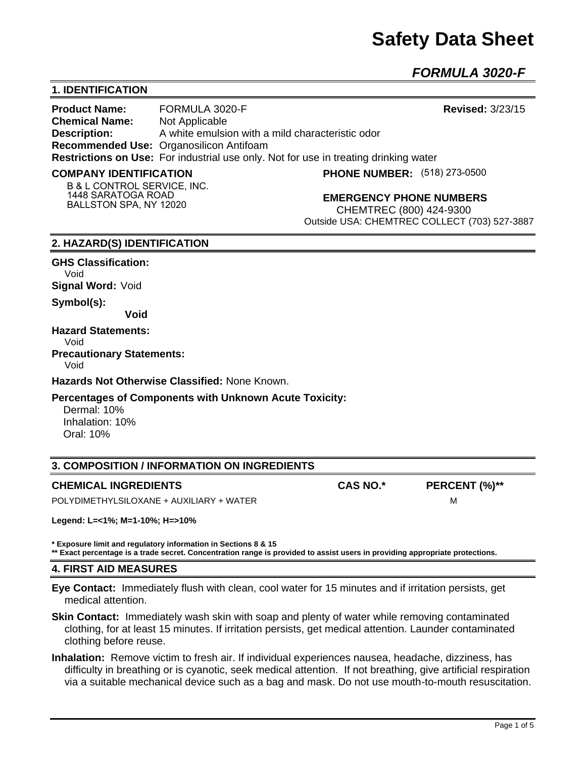# **Safety Data Sheet**

*FORMULA 3020-F* 

## **1. IDENTIFICATION**

**Product Name:** FORMULA 3020-F **Revised:** 3/23/15 **Chemical Name:** Not Applicable **Description:** A white emulsion with a mild characteristic odor **Recommended Use:** Organosilicon Antifoam **Restrictions on Use:** For industrial use only. Not for use in treating drinking water

#### **COMPANY IDENTIFICATION**

**PHONE NUMBER:** (518) 273-0500

**B & L CONTROL SERVICE, INC. 1448 SARATOGA ROAD BALLSTON SPA, NY 12020**

## **EMERGENCY PHONE NUMBERS**

CHEMTREC (800) 424-9300 Outside USA: CHEMTREC COLLECT (703) 527-3887

## **2. HAZARD(S) IDENTIFICATION**

#### **GHS Classification:**

Void

**Signal Word:** Void

**Symbol(s):** 

**Void** 

### **Hazard Statements:**

Void

#### **Precautionary Statements:**  Void

**Hazards Not Otherwise Classified:** None Known.

## **Percentages of Components with Unknown Acute Toxicity:**

 Dermal: 10% Inhalation: 10% Oral: 10%

## **3. COMPOSITION / INFORMATION ON INGREDIENTS**

## **CHEMICAL INGREDIENTS CAS NO.\* PERCENT (%)\*\***

POLYDIMETHYLSILOXANE + AUXILIARY + WATER MOLYDIMETHYLSILOXANE + AUXILIARY + WATER

**Legend: L=<1%; M=1-10%; H=>10%**

**\* Exposure limit and regulatory information in Sections 8 & 15 \*\* Exact percentage is a trade secret. Concentration range is provided to assist users in providing appropriate protections.**

## **4. FIRST AID MEASURES**

**Eye Contact:** Immediately flush with clean, cool water for 15 minutes and if irritation persists, get medical attention.

- **Skin Contact:** Immediately wash skin with soap and plenty of water while removing contaminated clothing, for at least 15 minutes. If irritation persists, get medical attention. Launder contaminated clothing before reuse.
- **Inhalation:** Remove victim to fresh air. If individual experiences nausea, headache, dizziness, has difficulty in breathing or is cyanotic, seek medical attention. If not breathing, give artificial respiration via a suitable mechanical device such as a bag and mask. Do not use mouth-to-mouth resuscitation.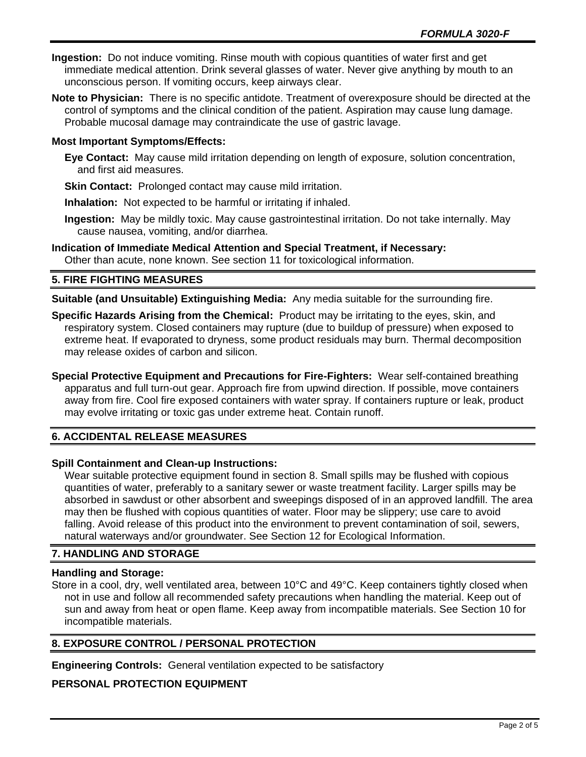- **Ingestion:** Do not induce vomiting. Rinse mouth with copious quantities of water first and get immediate medical attention. Drink several glasses of water. Never give anything by mouth to an unconscious person. If vomiting occurs, keep airways clear.
- **Note to Physician:** There is no specific antidote. Treatment of overexposure should be directed at the control of symptoms and the clinical condition of the patient. Aspiration may cause lung damage. Probable mucosal damage may contraindicate the use of gastric lavage.

## **Most Important Symptoms/Effects:**

- **Eye Contact:** May cause mild irritation depending on length of exposure, solution concentration, and first aid measures.
- **Skin Contact:** Prolonged contact may cause mild irritation.
- **Inhalation:** Not expected to be harmful or irritating if inhaled.
- **Ingestion:** May be mildly toxic. May cause gastrointestinal irritation. Do not take internally. May cause nausea, vomiting, and/or diarrhea.
- **Indication of Immediate Medical Attention and Special Treatment, if Necessary:** Other than acute, none known. See section 11 for toxicological information.

## **5. FIRE FIGHTING MEASURES**

**Suitable (and Unsuitable) Extinguishing Media:** Any media suitable for the surrounding fire.

- **Specific Hazards Arising from the Chemical:** Product may be irritating to the eyes, skin, and respiratory system. Closed containers may rupture (due to buildup of pressure) when exposed to extreme heat. If evaporated to dryness, some product residuals may burn. Thermal decomposition may release oxides of carbon and silicon.
- **Special Protective Equipment and Precautions for Fire-Fighters:** Wear self-contained breathing apparatus and full turn-out gear. Approach fire from upwind direction. If possible, move containers away from fire. Cool fire exposed containers with water spray. If containers rupture or leak, product may evolve irritating or toxic gas under extreme heat. Contain runoff.

## **6. ACCIDENTAL RELEASE MEASURES**

## **Spill Containment and Clean-up Instructions:**

Wear suitable protective equipment found in section 8. Small spills may be flushed with copious quantities of water, preferably to a sanitary sewer or waste treatment facility. Larger spills may be absorbed in sawdust or other absorbent and sweepings disposed of in an approved landfill. The area may then be flushed with copious quantities of water. Floor may be slippery; use care to avoid falling. Avoid release of this product into the environment to prevent contamination of soil, sewers, natural waterways and/or groundwater. See Section 12 for Ecological Information.

## **7. HANDLING AND STORAGE**

## **Handling and Storage:**

Store in a cool, dry, well ventilated area, between 10°C and 49°C. Keep containers tightly closed when not in use and follow all recommended safety precautions when handling the material. Keep out of sun and away from heat or open flame. Keep away from incompatible materials. See Section 10 for incompatible materials.

## **8. EXPOSURE CONTROL / PERSONAL PROTECTION**

**Engineering Controls:** General ventilation expected to be satisfactory

## **PERSONAL PROTECTION EQUIPMENT**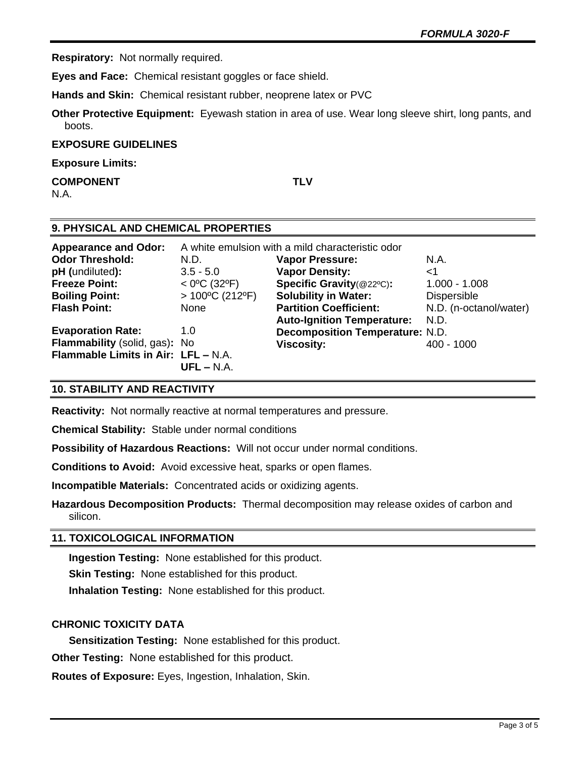**Respiratory:** Not normally required.

**Eyes and Face:** Chemical resistant goggles or face shield.

**Hands and Skin:** Chemical resistant rubber, neoprene latex or PVC

**Other Protective Equipment:** Eyewash station in area of use. Wear long sleeve shirt, long pants, and boots.

#### **EXPOSURE GUIDELINES**

**Exposure Limits:** 

**COMPONENT TLV** N.A.

## **9. PHYSICAL AND CHEMICAL PROPERTIES**

| <b>Appearance and Odor:</b>         |                          | A white emulsion with a mild characteristic odor |                        |
|-------------------------------------|--------------------------|--------------------------------------------------|------------------------|
| <b>Odor Threshold:</b>              | N.D.                     | <b>Vapor Pressure:</b>                           | N.A.                   |
| pH (undiluted):                     | $3.5 - 5.0$              | <b>Vapor Density:</b>                            | ا>                     |
| <b>Freeze Point:</b>                | $<$ 0°C (32°F)           | Specific Gravity(@22°C):                         | $1.000 - 1.008$        |
| <b>Boiling Point:</b>               | $>100^{\circ}$ C (212°F) | <b>Solubility in Water:</b>                      | <b>Dispersible</b>     |
| <b>Flash Point:</b>                 | None                     | <b>Partition Coefficient:</b>                    | N.D. (n-octanol/water) |
|                                     |                          | <b>Auto-Ignition Temperature:</b>                | N.D.                   |
| <b>Evaporation Rate:</b>            | 1.0                      | <b>Decomposition Temperature: N.D.</b>           |                        |
| Flammability (solid, gas): No       |                          | <b>Viscosity:</b>                                | 400 - 1000             |
| Flammable Limits in Air: LFL - N.A. |                          |                                                  |                        |
|                                     | $UFL - N.A.$             |                                                  |                        |

## **10. STABILITY AND REACTIVITY**

**Reactivity:** Not normally reactive at normal temperatures and pressure.

**Chemical Stability:** Stable under normal conditions

**Possibility of Hazardous Reactions:** Will not occur under normal conditions.

**Conditions to Avoid:** Avoid excessive heat, sparks or open flames.

**Incompatible Materials:** Concentrated acids or oxidizing agents.

**Hazardous Decomposition Products:** Thermal decomposition may release oxides of carbon and silicon.

## **11. TOXICOLOGICAL INFORMATION**

**Ingestion Testing:** None established for this product.

**Skin Testing:** None established for this product.

**Inhalation Testing:** None established for this product.

## **CHRONIC TOXICITY DATA**

**Sensitization Testing:** None established for this product.

**Other Testing:** None established for this product.

**Routes of Exposure:** Eyes, Ingestion, Inhalation, Skin.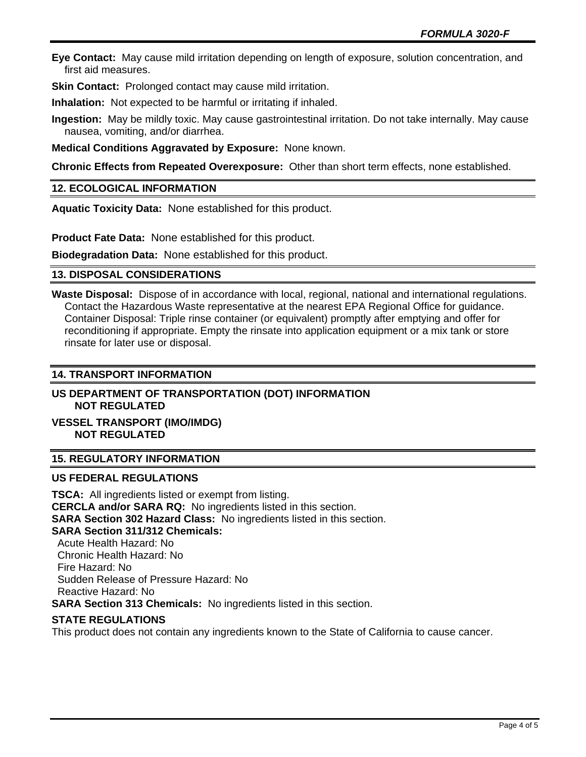**Eye Contact:** May cause mild irritation depending on length of exposure, solution concentration, and first aid measures.

**Skin Contact:** Prolonged contact may cause mild irritation.

**Inhalation:** Not expected to be harmful or irritating if inhaled.

**Ingestion:** May be mildly toxic. May cause gastrointestinal irritation. Do not take internally. May cause nausea, vomiting, and/or diarrhea.

**Medical Conditions Aggravated by Exposure:** None known.

**Chronic Effects from Repeated Overexposure:** Other than short term effects, none established.

## **12. ECOLOGICAL INFORMATION**

**Aquatic Toxicity Data:** None established for this product.

**Product Fate Data:** None established for this product.

**Biodegradation Data:** None established for this product.

## **13. DISPOSAL CONSIDERATIONS**

**Waste Disposal:** Dispose of in accordance with local, regional, national and international regulations. Contact the Hazardous Waste representative at the nearest EPA Regional Office for guidance. Container Disposal: Triple rinse container (or equivalent) promptly after emptying and offer for reconditioning if appropriate. Empty the rinsate into application equipment or a mix tank or store rinsate for later use or disposal.

## **14. TRANSPORT INFORMATION**

## **US DEPARTMENT OF TRANSPORTATION (DOT) INFORMATION NOT REGULATED**

## **VESSEL TRANSPORT (IMO/IMDG) NOT REGULATED**

## **15. REGULATORY INFORMATION**

## **US FEDERAL REGULATIONS**

**TSCA:** All ingredients listed or exempt from listing. **CERCLA and/or SARA RQ:** No ingredients listed in this section. **SARA Section 302 Hazard Class:** No ingredients listed in this section. **SARA Section 311/312 Chemicals:**  Acute Health Hazard: No Chronic Health Hazard: No Fire Hazard: No Sudden Release of Pressure Hazard: No Reactive Hazard: No **SARA Section 313 Chemicals:** No ingredients listed in this section.

## **STATE REGULATIONS**

This product does not contain any ingredients known to the State of California to cause cancer.